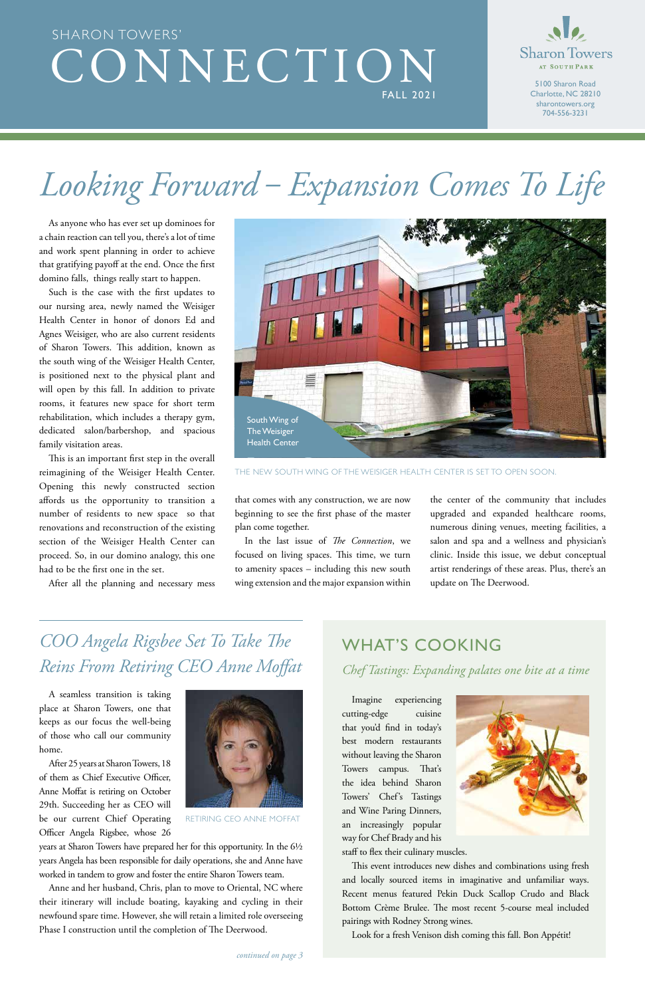A seamless transition is taking place at Sharon Towers, one that keeps as our focus the well-being of those who call our community home.



After 25 years at Sharon Towers, 18 of them as Chief Executive Officer, Anne Moffat is retiring on October 29th. Succeeding her as CEO will be our current Chief Operating Officer Angela Rigsbee, whose 26

years at Sharon Towers have prepared her for this opportunity. In the 6½ years Angela has been responsible for daily operations, she and Anne have worked in tandem to grow and foster the entire Sharon Towers team.

Anne and her husband, Chris, plan to move to Oriental, NC where their itinerary will include boating, kayaking and cycling in their newfound spare time. However, she will retain a limited role overseeing Phase I construction until the completion of The Deerwood.

## CONNECTION FALL 2021 SHARON TOWERS'



5100 Sharon Road Charlotte, NC 28210 sharontowers.org 704-556-3231

RETIRING CEO ANNE MOFFAT

## *COO Angela Rigsbee Set To Take The Reins From Retiring CEO Anne Moffat*

Imagine experiencing cutting-edge cuisine that you'd find in today's



best modern restaurants without leaving the Sharon Towers campus. That's the idea behind Sharon Towers' Chef's Tastings and Wine Paring Dinners, an increasingly popular way for Chef Brady and his staff to flex their culinary muscles.

This event introduces new dishes and combinations using fresh and locally sourced items in imaginative and unfamiliar ways. Recent menus featured Pekin Duck Scallop Crudo and Black Bottom Crème Brulee. The most recent 5-course meal included pairings with Rodney Strong wines.

Look for a fresh Venison dish coming this fall. Bon Appétit!

### WHAT'S COOKING

*Chef Tastings: Expanding palates one bite at a time*

that comes with any construction, we are now beginning to see the first phase of the master plan come together.

In the last issue of *The Connection*, we focused on living spaces. This time, we turn to amenity spaces – including this new south wing extension and the major expansion within

the center of the community that includes upgraded and expanded healthcare rooms, numerous dining venues, meeting facilities, a salon and spa and a wellness and physician's clinic. Inside this issue, we debut conceptual artist renderings of these areas. Plus, there's an update on The Deerwood.

# *Looking Forward – Expansion Comes To Life*

As anyone who has ever set up dominoes for a chain reaction can tell you, there's a lot of time and work spent planning in order to achieve that gratifying payoff at the end. Once the first domino falls, things really start to happen.

Such is the case with the first updates to our nursing area, newly named the Weisiger Health Center in honor of donors Ed and Agnes Weisiger, who are also current residents of Sharon Towers. This addition, known as the south wing of the Weisiger Health Center, is positioned next to the physical plant and will open by this fall. In addition to private rooms, it features new space for short term rehabilitation, which includes a therapy gym, dedicated salon/barbershop, and spacious family visitation areas.



THE NEW SOUTH WING OF THE WEISIGER HEALTH CENTER IS SET TO OPEN SOON.

This is an important first step in the overall reimagining of the Weisiger Health Center. Opening this newly constructed section affords us the opportunity to transition a number of residents to new space so that renovations and reconstruction of the existing section of the Weisiger Health Center can proceed. So, in our domino analogy, this one had to be the first one in the set.

After all the planning and necessary mess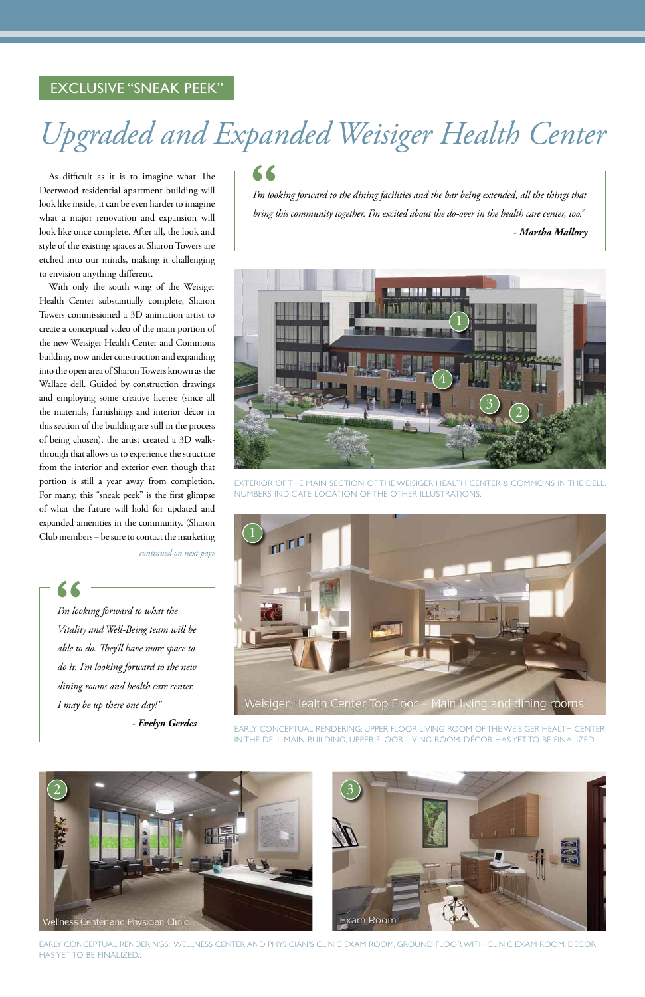## *Upgraded and Expanded Weisiger Health Center*

*continued on next page*

As difficult as it is to imagine what The Deerwood residential apartment building will look like inside, it can be even harder to imagine what a major renovation and expansion will look like once complete. After all, the look and style of the existing spaces at Sharon Towers are etched into our minds, making it challenging to envision anything different.

*I'm looking forward to what the Vitality and Well-Being team will be able to do. They'll have more space to do it. I'm looking forward to the new dining rooms and health care center. I may be up there one day!"* |<br>| I'm looki<br>| Vitality c

With only the south wing of the Weisiger Health Center substantially complete, Sharon Towers commissioned a 3D animation artist to create a conceptual video of the main portion of the new Weisiger Health Center and Commons building, now under construction and expanding into the open area of Sharon Towers known as the Wallace dell. Guided by construction drawings and employing some creative license (since all the materials, furnishings and interior décor in this section of the building are still in the process of being chosen), the artist created a 3D walkthrough that allows us to experience the structure from the interior and exterior even though that portion is still a year away from completion. For many, this "sneak peek" is the first glimpse of what the future will hold for updated and expanded amenities in the community. (Sharon Club members – be sure to contact the marketing



THE MAIN SECTION OF THE WEISIGER HEALTH CENTER & COMMONS IN THE DELL NUMBERS INDICATE LOCATION OF THE OTHER ILLUSTRATIONS.



OR LIVING ROOM OF THE WEISIGER HEALTH

#### IN THE DELL MAIN BUILDING, UPPER FLOOR LIVING ROOM. DÉCOR HAS YET TO BE FINALIZED.

EARLY CONCEPTUAL RENDERINGS: WELLNESS CENTER AND PHYSICIAN'S CLINIC EXAM ROOM, GROUND FLOOR WITH CLINIC EXAM ROOM. DÉCOR HAS YET TO BE FINALIZED..

#### EXCLUSIVE "SNEAK PEEK"

*- Evelyn Gerdes*

*I'm looking forward to the dining facilities and the bar being extended, all the things that bring this community together. I'm excited about the do-over in the health care center, too."* |<br>|-<br>| I'm looki<br>|<br>| bring this *- Martha Mallory*



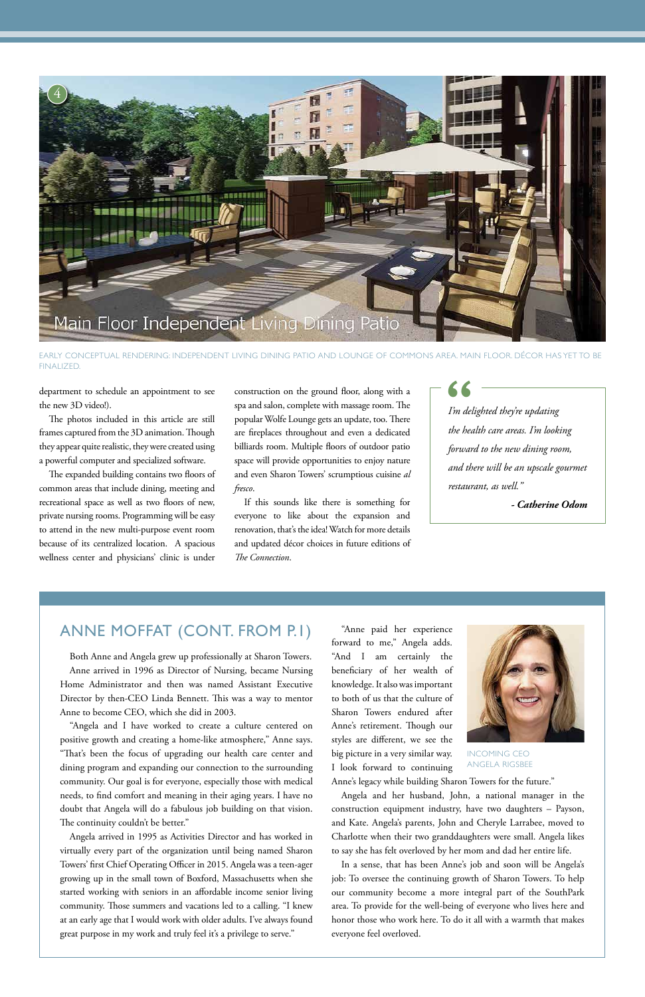positive growth and creating a home-like atmosphere," Anne says. "That's been the focus of upgrading our health care center and dining program and expanding our connection to the surrounding community. Our goal is for everyone, especially those with medical needs, to find comfort and meaning in their aging years. I have no doubt that Angela will do a fabulous job building on that vision. The continuity couldn't be better."

Both Anne and Angela grew up professionally at Sharon Towers. Anne arrived in 1996 as Director of Nursing, became Nursing Home Administrator and then was named Assistant Executive Director by then-CEO Linda Bennett. This was a way to mentor Anne to become CEO, which she did in 2003.

"Angela and I have worked to create a culture centered on

Angela arrived in 1995 as Activities Director and has worked in virtually every part of the organization until being named Sharon Towers' first Chief Operating Officer in 2015. Angela was a teen-ager growing up in the small town of Boxford, Massachusetts when she started working with seniors in an affordable income senior living community. Those summers and vacations led to a calling. "I knew at an early age that I would work with older adults. I've always found great purpose in my work and truly feel it's a privilege to serve."

department to schedule an appointment to see the new 3D video!).

The photos included in this article are still frames captured from the 3D animation. Though they appear quite realistic, they were created using a powerful computer and specialized software.

*I'm delighted they're updating the health care areas. I'm looking forward to the new dining room, and there will be an upscale gourmet restaurant, as well."*  $\begin{array}{c} \begin{array}{c} \text{-} \\ \text{I'm delay} \end{array} \end{array}$ <br>the health

The expanded building contains two floors of common areas that include dining, meeting and recreational space as well as two floors of new, private nursing rooms. Programming will be easy to attend in the new multi-purpose event room because of its centralized location. A spacious wellness center and physicians' clinic is under



EARLY CONCEPTUAL RENDERING: INDEPENDENT LIVING DINING PATIO AND LOUNGE OF COMMONS AREA. MAIN FLOOR. DÉCOR HAS YET TO BE FINALIZED.

construction on the ground floor, along with a spa and salon, complete with massage room. The popular Wolfe Lounge gets an update, too. There are fireplaces throughout and even a dedicated billiards room. Multiple floors of outdoor patio space will provide opportunities to enjoy nature and even Sharon Towers' scrumptious cuisine *al fresco*.

If this sounds like there is something for everyone to like about the expansion and renovation, that's the idea! Watch for more details and updated décor choices in future editions of *The Connection*.

#### ANNE MOFFAT (CONT. FROM P.1) "Anne paid her experience

forward to me," Angela adds. "And I am certainly the beneficiary of her wealth of knowledge. It also was important to both of us that the culture of Sharon Towers endured after Anne's retirement. Though our



styles are different, we see the big picture in a very similar way. I look forward to continuing

Anne's legacy while building Sharon Towers for the future."

Angela and her husband, John, a national manager in the construction equipment industry, have two daughters – Payson, and Kate. Angela's parents, John and Cheryle Larrabee, moved to Charlotte when their two granddaughters were small. Angela likes to say she has felt overloved by her mom and dad her entire life.

In a sense, that has been Anne's job and soon will be Angela's job: To oversee the continuing growth of Sharon Towers. To help our community become a more integral part of the SouthPark area. To provide for the well-being of everyone who lives here and honor those who work here. To do it all with a warmth that makes everyone feel overloved.

INCOMING CEO ANGELA RIGSBEE

*- Catherine Odom*